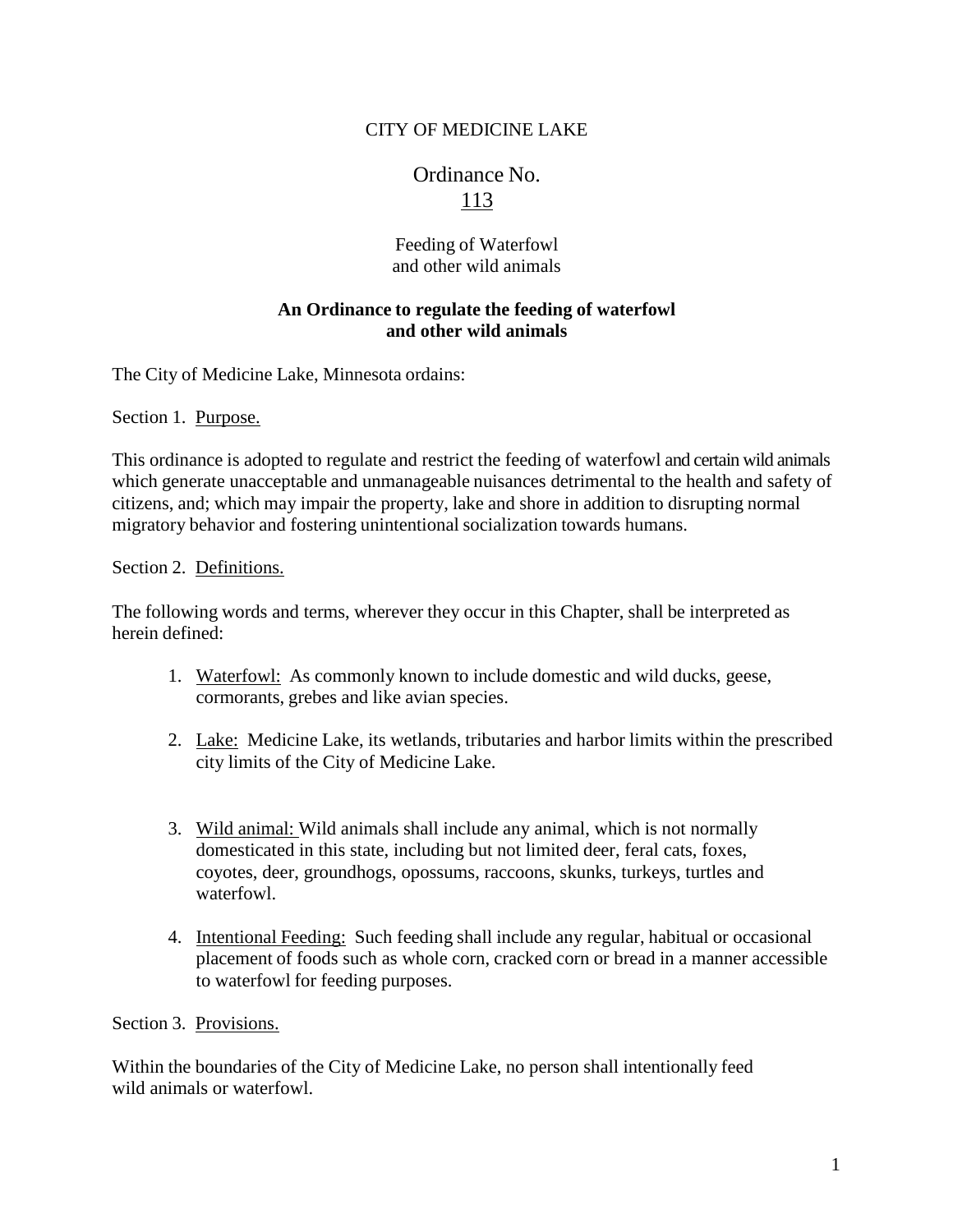## CITY OF MEDICINE LAKE

# Ordinance No. 113

Feeding of Waterfowl and other wild animals

### **An Ordinance to regulate the feeding of waterfowl and other wild animals**

The City of Medicine Lake, Minnesota ordains:

Section 1. Purpose.

This ordinance is adopted to regulate and restrict the feeding of waterfowl and certain wild animals which generate unacceptable and unmanageable nuisances detrimental to the health and safety of citizens, and; which may impair the property, lake and shore in addition to disrupting normal migratory behavior and fostering unintentional socialization towards humans.

#### Section 2. Definitions.

The following words and terms, wherever they occur in this Chapter, shall be interpreted as herein defined:

- 1. Waterfowl: As commonly known to include domestic and wild ducks, geese, cormorants, grebes and like avian species.
- 2. Lake: Medicine Lake, its wetlands, tributaries and harbor limits within the prescribed city limits of the City of Medicine Lake.
- 3. Wild animal: Wild animals shall include any animal, which is not normally domesticated in this state, including but not limited deer, feral cats, foxes, coyotes, deer, groundhogs, opossums, raccoons, skunks, turkeys, turtles and waterfowl.
- 4. Intentional Feeding: Such feeding shall include any regular, habitual or occasional placement of foods such as whole corn, cracked corn or bread in a manner accessible to waterfowl for feeding purposes.

Section 3. Provisions.

Within the boundaries of the City of Medicine Lake, no person shall intentionally feed wild animals or waterfowl.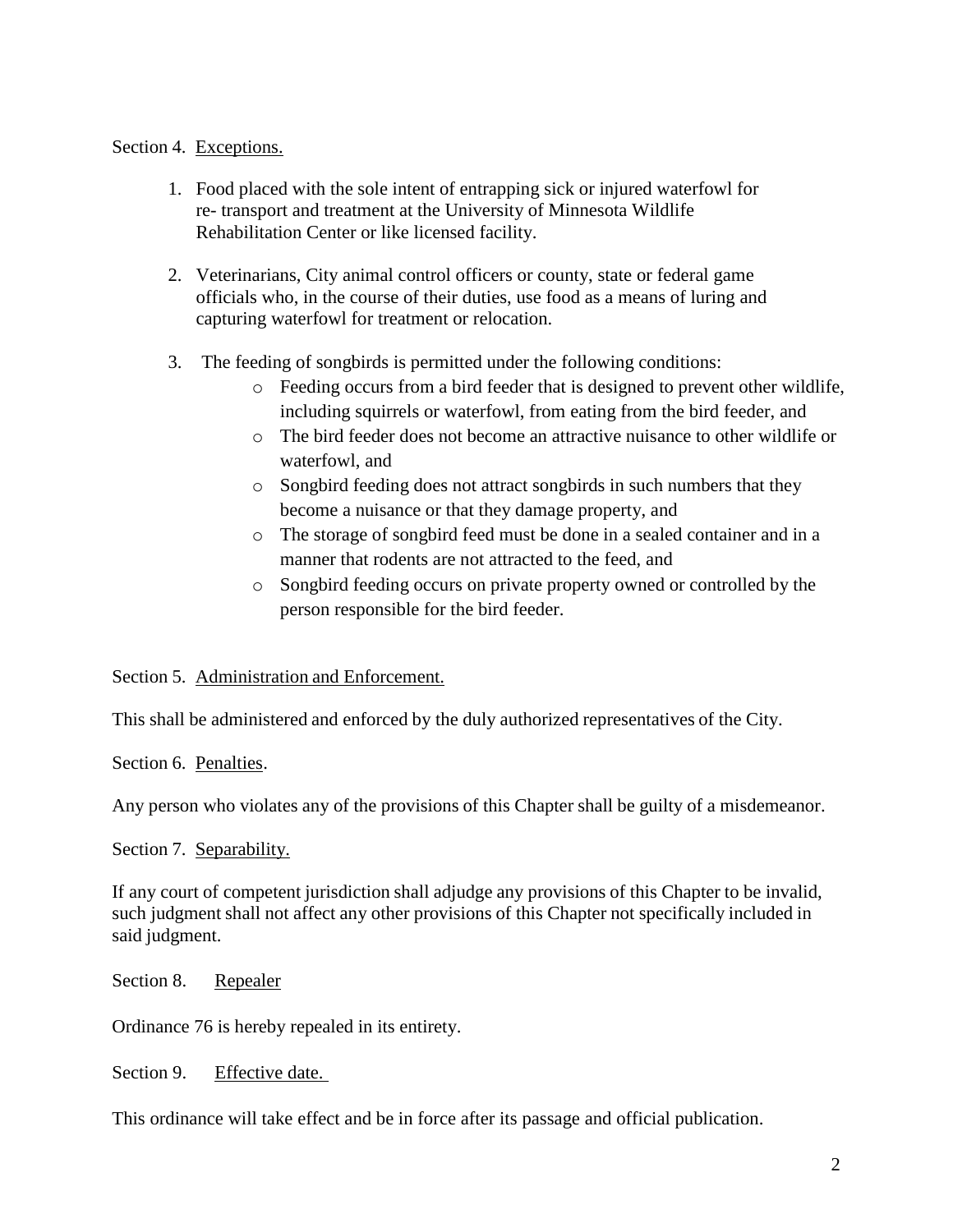#### Section 4. Exceptions.

- 1. Food placed with the sole intent of entrapping sick or injured waterfowl for re- transport and treatment at the University of Minnesota Wildlife Rehabilitation Center or like licensed facility.
- 2. Veterinarians, City animal control officers or county, state or federal game officials who, in the course of their duties, use food as a means of luring and capturing waterfowl for treatment or relocation.
- 3. The feeding of songbirds is permitted under the following conditions:
	- o Feeding occurs from a bird feeder that is designed to prevent other wildlife, including squirrels or waterfowl, from eating from the bird feeder, and
	- o The bird feeder does not become an attractive nuisance to other wildlife or waterfowl, and
	- o Songbird feeding does not attract songbirds in such numbers that they become a nuisance or that they damage property, and
	- o The storage of songbird feed must be done in a sealed container and in a manner that rodents are not attracted to the feed, and
	- o Songbird feeding occurs on private property owned or controlled by the person responsible for the bird feeder.

Section 5. Administration and Enforcement.

This shall be administered and enforced by the duly authorized representatives of the City.

Section 6. Penalties.

Any person who violates any of the provisions of this Chapter shall be guilty of a misdemeanor.

Section 7. Separability.

If any court of competent jurisdiction shall adjudge any provisions of this Chapter to be invalid, such judgment shall not affect any other provisions of this Chapter not specifically included in said judgment.

Section 8. Repealer

Ordinance 76 is hereby repealed in its entirety.

Section 9. Effective date.

This ordinance will take effect and be in force after its passage and official publication.